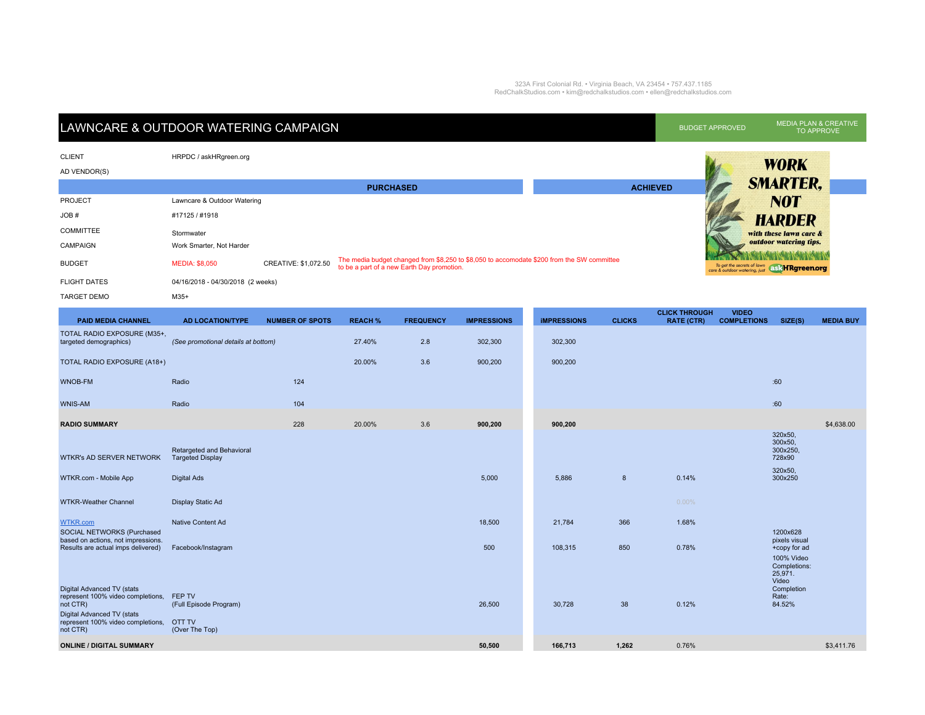## 323A First Colonial Rd. • Virginia Beach, VA 23454 • 757.437.1185 RedChalkStudios.com • kim@redchalkstudios.com • ellen@redchalkstudios.com

| LAWNCARE & OUTDOOR WATERING CAMPAIGN |                                   |                      |                                                                                                                                          |                 | <b>BUDGET APPROVED</b> | <b>MEDIA PLAN &amp; CREATIVE</b><br>TO APPROVE                              |
|--------------------------------------|-----------------------------------|----------------------|------------------------------------------------------------------------------------------------------------------------------------------|-----------------|------------------------|-----------------------------------------------------------------------------|
| <b>CLIENT</b><br>AD VENDOR(S)        | HRPDC / askHRgreen.org            |                      |                                                                                                                                          |                 |                        | <b>WORK</b>                                                                 |
|                                      |                                   |                      | <b>PURCHASED</b>                                                                                                                         | <b>ACHIEVED</b> |                        | <b>SMARTER,</b>                                                             |
| <b>PROJECT</b>                       | Lawncare & Outdoor Watering       |                      |                                                                                                                                          |                 |                        | <b>NOT</b>                                                                  |
| JOB #                                | #17125 / #1918                    |                      |                                                                                                                                          |                 |                        | <b>HARDER</b>                                                               |
| <b>COMMITTEE</b>                     | Stormwater                        |                      |                                                                                                                                          |                 |                        | with these lawn care &                                                      |
| <b>CAMPAIGN</b>                      | Work Smarter, Not Harder          |                      |                                                                                                                                          |                 |                        | outdoor watering tips.                                                      |
| <b>BUDGET</b>                        | <b>MEDIA: \$8,050</b>             | CREATIVE: \$1,072.50 | The media budget changed from \$8,250 to \$8,050 to accomodate \$200 from the SW committee<br>to be a part of a new Earth Day promotion. |                 |                        | To get the secrets of lown<br>care & outdoor watering, just ask HRgreen.org |
| <b>FLIGHT DATES</b>                  | 04/16/2018 - 04/30/2018 (2 weeks) |                      |                                                                                                                                          |                 |                        |                                                                             |
| <b>TARGET DEMO</b>                   | $M35+$                            |                      |                                                                                                                                          |                 |                        |                                                                             |

| <b>PAID MEDIA CHANNEL</b>                                                                                                                                  | <b>AD LOCATION/TYPE</b>                                             | <b>NUMBER OF SPOTS</b> | <b>REACH %</b> | <b>FREQUENCY</b> | <b>IMPRESSIONS</b> | <b>IMPRESSIONS</b> | <b>CLICKS</b> | <b>CLICK THROUGH</b><br><b>RATE (CTR)</b> | <b>VIDEO</b><br><b>COMPLETIONS</b> | SIZE(S)                                                                | <b>MEDIA BUY</b> |
|------------------------------------------------------------------------------------------------------------------------------------------------------------|---------------------------------------------------------------------|------------------------|----------------|------------------|--------------------|--------------------|---------------|-------------------------------------------|------------------------------------|------------------------------------------------------------------------|------------------|
| TOTAL RADIO EXPOSURE (M35+,<br>targeted demographics)                                                                                                      | (See promotional details at bottom)                                 |                        | 27.40%         | 2.8              | 302,300            | 302,300            |               |                                           |                                    |                                                                        |                  |
| TOTAL RADIO EXPOSURE (A18+)                                                                                                                                |                                                                     |                        | 20.00%         | 3.6              | 900,200            | 900,200            |               |                                           |                                    |                                                                        |                  |
| <b>WNOB-FM</b>                                                                                                                                             | Radio                                                               | 124                    |                |                  |                    |                    |               |                                           |                                    | :60                                                                    |                  |
| <b>WNIS-AM</b>                                                                                                                                             | Radio                                                               | 104                    |                |                  |                    |                    |               |                                           |                                    | :60                                                                    |                  |
| <b>RADIO SUMMARY</b>                                                                                                                                       |                                                                     | 228                    | 20.00%         | 3.6              | 900,200            | 900,200            |               |                                           |                                    |                                                                        | \$4,638.00       |
| <b>WTKR's AD SERVER NETWORK</b>                                                                                                                            | Retargeted and Behavioral<br><b>Targeted Display</b>                |                        |                |                  |                    |                    |               |                                           |                                    | 320x50,<br>300x50,<br>300x250,<br>728x90                               |                  |
| WTKR.com - Mobile App                                                                                                                                      | <b>Digital Ads</b>                                                  |                        |                |                  | 5,000              | 5,886              | $\bf{8}$      | 0.14%                                     |                                    | 320x50,<br>300x250                                                     |                  |
| <b>WTKR-Weather Channel</b>                                                                                                                                | Display Static Ad                                                   |                        |                |                  |                    |                    |               | $0.00\%$                                  |                                    |                                                                        |                  |
| <b>WTKR.com</b><br>SOCIAL NETWORKS (Purchased                                                                                                              | Native Content Ad                                                   |                        |                |                  | 18,500             | 21,784             | 366           | 1.68%                                     |                                    | 1200x628                                                               |                  |
| based on actions, not impressions.<br>Results are actual imps delivered)                                                                                   | Facebook/Instagram                                                  |                        |                |                  | 500                | 108,315            | 850           | 0.78%                                     |                                    | pixels visual<br>+copy for ad<br>100% Video<br>Completions:<br>25,971. |                  |
| Digital Advanced TV (stats<br>represent 100% video completions,<br>not CTR)<br>Digital Advanced TV (stats<br>represent 100% video completions,<br>not CTR) | FEP TV<br>(Full Episode Program)<br><b>OTT TV</b><br>(Over The Top) |                        |                |                  | 26,500             | 30,728             | 38            | 0.12%                                     |                                    | Video<br>Completion<br>Rate:<br>84.52%                                 |                  |
| <b>ONLINE / DIGITAL SUMMARY</b>                                                                                                                            |                                                                     |                        |                |                  | 50,500             | 166,713            | 1,262         | 0.76%                                     |                                    |                                                                        | \$3,411.76       |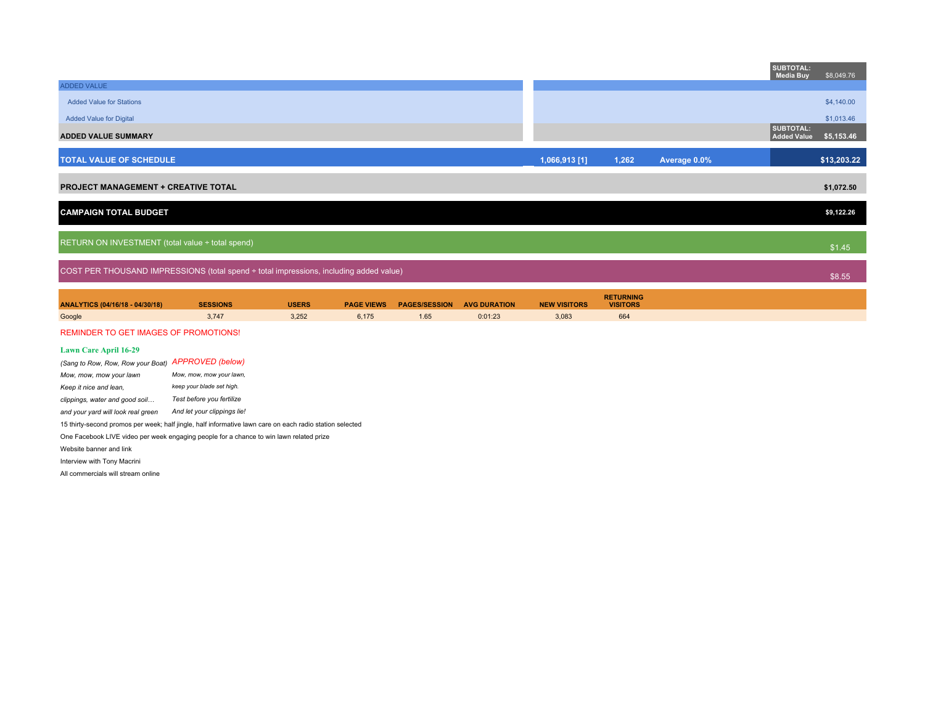|                                                     |                                                                                        |              |                   |                      |                     |                     |                                     |              | <b>SUBTOTAL:</b><br><b>Media Buy</b> | \$8,049.76  |
|-----------------------------------------------------|----------------------------------------------------------------------------------------|--------------|-------------------|----------------------|---------------------|---------------------|-------------------------------------|--------------|--------------------------------------|-------------|
| ADDED VALUE                                         |                                                                                        |              |                   |                      |                     |                     |                                     |              |                                      |             |
| <b>Added Value for Stations</b>                     |                                                                                        |              |                   |                      |                     |                     |                                     |              |                                      | \$4,140.00  |
| <b>Added Value for Digital</b>                      |                                                                                        |              |                   |                      |                     |                     |                                     |              |                                      | \$1,013.46  |
| <b>ADDED VALUE SUMMARY</b>                          |                                                                                        |              |                   |                      |                     |                     |                                     |              | <b>SUBTOTAL:</b><br>Added Value      | \$5,153.46  |
| <b>TOTAL VALUE OF SCHEDULE</b>                      |                                                                                        |              |                   |                      |                     | $1,066,913$ [1]     | 1,262                               | Average 0.0% |                                      | \$13,203.22 |
| <b>PROJECT MANAGEMENT + CREATIVE TOTAL</b>          |                                                                                        |              |                   |                      |                     |                     |                                     |              |                                      | \$1,072.50  |
| <b>CAMPAIGN TOTAL BUDGET</b>                        |                                                                                        |              |                   |                      |                     |                     |                                     |              |                                      | \$9,122.26  |
| RETURN ON INVESTMENT (total value ÷ total spend)    |                                                                                        |              |                   |                      |                     |                     |                                     |              |                                      |             |
|                                                     |                                                                                        |              |                   |                      |                     |                     |                                     |              |                                      | \$1.45      |
|                                                     | COST PER THOUSAND IMPRESSIONS (total spend ÷ total impressions, including added value) |              |                   |                      |                     |                     |                                     |              |                                      | \$8.55      |
| ANALYTICS (04/16/18 - 04/30/18)                     | <b>SESSIONS</b>                                                                        | <b>USERS</b> | <b>PAGE VIEWS</b> | <b>PAGES/SESSION</b> | <b>AVG DURATION</b> | <b>NEW VISITORS</b> | <b>RETURNING</b><br><b>VISITORS</b> |              |                                      |             |
| Google                                              | 3,747                                                                                  | 3,252        | 6,175             | 1.65                 | 0:01:23             | 3,083               | 664                                 |              |                                      |             |
| <b>REMINDER TO GET IMAGES OF PROMOTIONS!</b>        |                                                                                        |              |                   |                      |                     |                     |                                     |              |                                      |             |
| <b>Lawn Care April 16-29</b>                        |                                                                                        |              |                   |                      |                     |                     |                                     |              |                                      |             |
| (Sang to Row, Row, Row your Boat) APPROVED (below)  |                                                                                        |              |                   |                      |                     |                     |                                     |              |                                      |             |
| Mow, mow, mow your lawn,<br>Mow, mow, mow your lawn |                                                                                        |              |                   |                      |                     |                     |                                     |              |                                      |             |
| Koon it nice and loon                               | keep your blade set high.                                                              |              |                   |                      |                     |                     |                                     |              |                                      |             |

*Keep it nice and lean, keep your blade set high. clippings, water and good soil… Test before you fertilize 4140 and your yard will look real green And let your clippings lie!*

15 thirty-second promos per week; half jingle, half informative lawn care on each radio station selected

One Facebook LIVE video per week engaging people for a chance to win lawn related prize

Website banner and link

Interview with Tony Macrini

All commercials will stream online